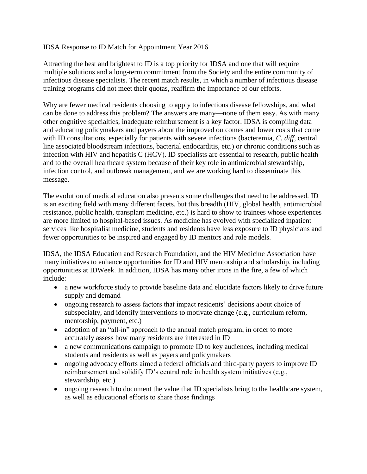## IDSA Response to ID Match for Appointment Year 2016

Attracting the best and brightest to ID is a top priority for IDSA and one that will require multiple solutions and a long-term commitment from the Society and the entire community of infectious disease specialists. The recent match results, in which a number of infectious disease training programs did not meet their quotas, reaffirm the importance of our efforts.

Why are fewer medical residents choosing to apply to infectious disease fellowships, and what can be done to address this problem? The answers are many—none of them easy. As with many other cognitive specialties, inadequate reimbursement is a key factor. IDSA is compiling data and educating policymakers and payers about the improved outcomes and lower costs that come with ID consultations, especially for patients with severe infections (bacteremia, *C. diff*, central line associated bloodstream infections, bacterial endocarditis, etc.) or chronic conditions such as infection with HIV and hepatitis C (HCV). ID specialists are essential to research, public health and to the overall healthcare system because of their key role in antimicrobial stewardship, infection control, and outbreak management, and we are working hard to disseminate this message.

The evolution of medical education also presents some challenges that need to be addressed. ID is an exciting field with many different facets, but this breadth (HIV, global health, antimicrobial resistance, public health, transplant medicine, etc.) is hard to show to trainees whose experiences are more limited to hospital-based issues. As medicine has evolved with specialized inpatient services like hospitalist medicine, students and residents have less exposure to ID physicians and fewer opportunities to be inspired and engaged by ID mentors and role models.

IDSA, the IDSA Education and Research Foundation, and the HIV Medicine Association have many initiatives to enhance opportunities for ID and HIV mentorship and scholarship, including opportunities at IDWeek. In addition, IDSA has many other irons in the fire, a few of which include:

- a new workforce study to provide baseline data and elucidate factors likely to drive future supply and demand
- ongoing research to assess factors that impact residents' decisions about choice of subspecialty, and identify interventions to motivate change (e.g., curriculum reform, mentorship, payment, etc.)
- adoption of an "all-in" approach to the annual match program, in order to more accurately assess how many residents are interested in ID
- a new communications campaign to promote ID to key audiences, including medical students and residents as well as payers and policymakers
- ongoing advocacy efforts aimed a federal officials and third-party payers to improve ID reimbursement and solidify ID's central role in health system initiatives (e.g., stewardship, etc.)
- ongoing research to document the value that ID specialists bring to the healthcare system, as well as educational efforts to share those findings